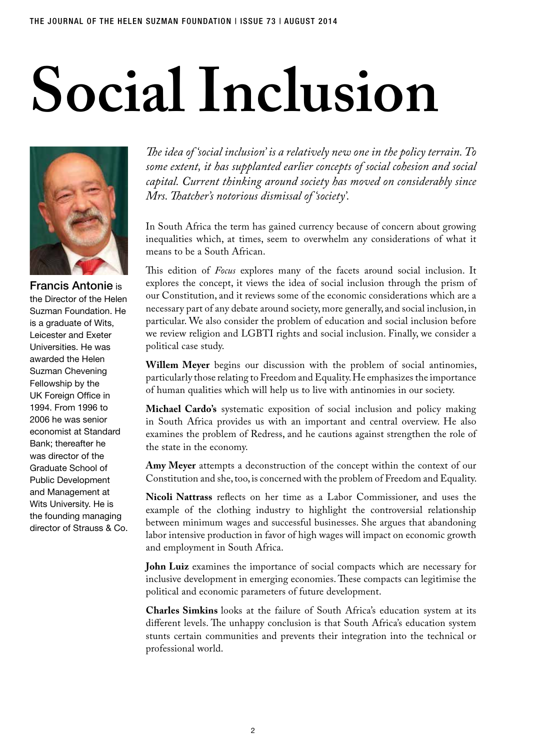## **Social Inclusion**



Francis Antonie is the Director of the Helen Suzman Foundation. He is a graduate of Wits, Leicester and Exeter Universities. He was awarded the Helen Suzman Chevening Fellowship by the UK Foreign Office in 1994. From 1996 to 2006 he was senior economist at Standard Bank; thereafter he was director of the Graduate School of Public Development and Management at Wits University. He is the founding managing director of Strauss & Co.

*The idea of 'social inclusion' is a relatively new one in the policy terrain. To some extent, it has supplanted earlier concepts of social cohesion and social capital. Current thinking around society has moved on considerably since Mrs. Thatcher's notorious dismissal of 'society'.* 

In South Africa the term has gained currency because of concern about growing inequalities which, at times, seem to overwhelm any considerations of what it means to be a South African.

This edition of *Focus* explores many of the facets around social inclusion. It explores the concept, it views the idea of social inclusion through the prism of our Constitution, and it reviews some of the economic considerations which are a necessary part of any debate around society, more generally, and social inclusion, in particular. We also consider the problem of education and social inclusion before we review religion and LGBTI rights and social inclusion. Finally, we consider a political case study.

**Willem Meyer** begins our discussion with the problem of social antinomies, particularly those relating to Freedom and Equality. He emphasizes the importance of human qualities which will help us to live with antinomies in our society.

**Michael Cardo's** systematic exposition of social inclusion and policy making in South Africa provides us with an important and central overview. He also examines the problem of Redress, and he cautions against strengthen the role of the state in the economy.

**Amy Meyer** attempts a deconstruction of the concept within the context of our Constitution and she, too, is concerned with the problem of Freedom and Equality.

**Nicoli Nattrass** reflects on her time as a Labor Commissioner, and uses the example of the clothing industry to highlight the controversial relationship between minimum wages and successful businesses. She argues that abandoning labor intensive production in favor of high wages will impact on economic growth and employment in South Africa.

**John Luiz** examines the importance of social compacts which are necessary for inclusive development in emerging economies. These compacts can legitimise the political and economic parameters of future development.

**Charles Simkins** looks at the failure of South Africa's education system at its different levels. The unhappy conclusion is that South Africa's education system stunts certain communities and prevents their integration into the technical or professional world.